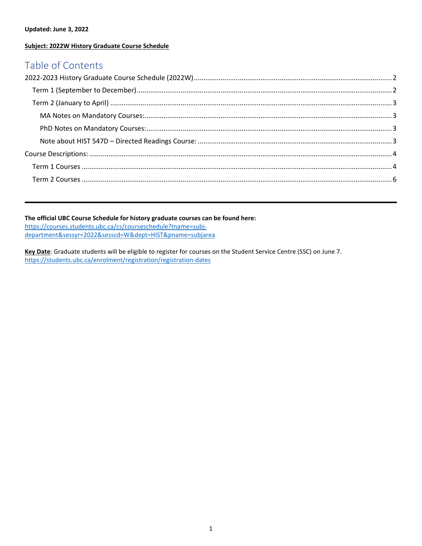#### **Updated: June 3, 2022**

#### **Subject: 2022W History Graduate Course Schedule**

## Table of Contents

#### **The official UBC Course Schedule for history graduate courses can be found here:**

https://courses.students.ubc.ca/cs/courseschedule?tname=subjdepartment&sessyr=2022&sesscd=W&dept=HIST&pname=subjarea

**Key Date**: Graduate students will be eligible to register for courses on the Student Service Centre (SSC) on June 7. https://students.ubc.ca/enrolment/registration/registration-dates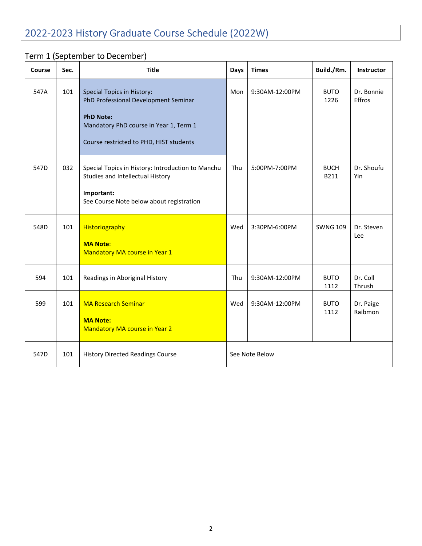# 2022-2023 History Graduate Course Schedule (2022W)

# Term 1 (September to December)

| Course | Sec. | <b>Title</b>                                                                                          | Days           | <b>Times</b>   | Build./Rm.          | Instructor           |
|--------|------|-------------------------------------------------------------------------------------------------------|----------------|----------------|---------------------|----------------------|
| 547A   | 101  | <b>Special Topics in History:</b><br>PhD Professional Development Seminar                             | Mon            | 9:30AM-12:00PM | <b>BUTO</b><br>1226 | Dr. Bonnie<br>Effros |
|        |      | <b>PhD Note:</b><br>Mandatory PhD course in Year 1, Term 1<br>Course restricted to PHD, HIST students |                |                |                     |                      |
| 547D   | 032  | Special Topics in History: Introduction to Manchu<br>Studies and Intellectual History                 | Thu            | 5:00PM-7:00PM  | <b>BUCH</b><br>B211 | Dr. Shoufu<br>Yin    |
|        |      | Important:<br>See Course Note below about registration                                                |                |                |                     |                      |
| 548D   | 101  | Historiography                                                                                        | Wed            | 3:30PM-6:00PM  | <b>SWNG 109</b>     | Dr. Steven<br>Lee    |
|        |      | <b>MA Note:</b><br>Mandatory MA course in Year 1                                                      |                |                |                     |                      |
| 594    | 101  | Readings in Aboriginal History                                                                        | Thu            | 9:30AM-12:00PM | <b>BUTO</b><br>1112 | Dr. Coll<br>Thrush   |
| 599    | 101  | <b>MA Research Seminar</b>                                                                            | Wed            | 9:30AM-12:00PM | <b>BUTO</b><br>1112 | Dr. Paige<br>Raibmon |
|        |      | <b>MA Note:</b><br><b>Mandatory MA course in Year 2</b>                                               |                |                |                     |                      |
| 547D   | 101  | <b>History Directed Readings Course</b>                                                               | See Note Below |                |                     |                      |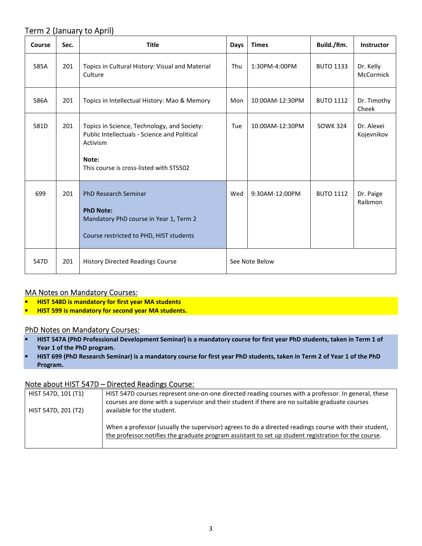### Term 2 (January to April)

| Course | Sec. | <b>Title</b>                                                                                                                                                | <b>Days</b>    | <b>Times</b>    | Build./Rm.       | <b>Instructor</b>        |
|--------|------|-------------------------------------------------------------------------------------------------------------------------------------------------------------|----------------|-----------------|------------------|--------------------------|
| 585A   | 201  | Topics in Cultural History: Visual and Material<br>Culture                                                                                                  | Thu            | 1:30PM-4:00PM   | <b>BUTO 1133</b> | Dr. Kelly<br>McCormick   |
| 586A   | 201  | Topics in Intellectual History: Mao & Memory                                                                                                                | Mon            | 10:00AM-12:30PM | <b>BUTO 1112</b> | Dr. Timothy<br>Cheek     |
| 581D   | 201  | Topics in Science, Technology, and Society:<br>Public Intellectuals - Science and Political<br>Activism<br>Note:<br>This course is cross-listed with STS502 | Tue            | 10:00AM-12:30PM | <b>SOWK 324</b>  | Dr. Alexei<br>Kojevnikov |
| 699    | 201  | <b>PhD Research Seminar</b><br><b>PhD Note:</b><br>Mandatory PhD course in Year 1, Term 2<br>Course restricted to PHD, HIST students                        | Wed            | 9:30AM-12:00PM  | <b>BUTO 1112</b> | Dr. Paige<br>Raibmon     |
| 547D   | 201  | <b>History Directed Readings Course</b>                                                                                                                     | See Note Below |                 |                  |                          |

### MA Notes on Mandatory Courses:

- **HIST 548D is mandatory for first year MA students**
- **HIST 599 is mandatory for second year MA students.**

#### PhD Notes on Mandatory Courses:

- **HIST 547A (PhD Professional Development Seminar) is a mandatory course for first year PhD students, taken in Term 1 of Year 1 of the PhD program.**
- **HIST 699 (PhD Research Seminar) is a mandatory course for first year PhD students, taken in Term 2 of Year 1 of the PhD Program.**

#### Note about HIST 547D – Directed Readings Course:

| HIST 547D, 101 (T1) | HIST 547D courses represent one-on-one directed reading courses with a professor. In general, these   |
|---------------------|-------------------------------------------------------------------------------------------------------|
|                     | courses are done with a supervisor and their student if there are no suitable graduate courses        |
| HIST 547D, 201 (T2) | available for the student.                                                                            |
|                     |                                                                                                       |
|                     | When a professor (usually the supervisor) agrees to do a directed readings course with their student, |
|                     | the professor notifies the graduate program assistant to set up student registration for the course.  |
|                     |                                                                                                       |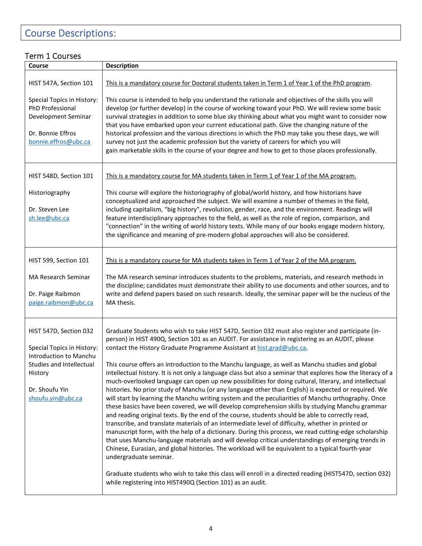# Course Descriptions:

### Term 1 Courses

| Course                                                                                                             | Description                                                                                                                                                                                                                                                                                                                                                                                                                                                                                                                                                                                                                                                                                                                                                                                                                                                                                                                                                                                                                                                                                                                                                                                      |
|--------------------------------------------------------------------------------------------------------------------|--------------------------------------------------------------------------------------------------------------------------------------------------------------------------------------------------------------------------------------------------------------------------------------------------------------------------------------------------------------------------------------------------------------------------------------------------------------------------------------------------------------------------------------------------------------------------------------------------------------------------------------------------------------------------------------------------------------------------------------------------------------------------------------------------------------------------------------------------------------------------------------------------------------------------------------------------------------------------------------------------------------------------------------------------------------------------------------------------------------------------------------------------------------------------------------------------|
| HIST 547A, Section 101                                                                                             | This is a mandatory course for Doctoral students taken in Term 1 of Year 1 of the PhD program.                                                                                                                                                                                                                                                                                                                                                                                                                                                                                                                                                                                                                                                                                                                                                                                                                                                                                                                                                                                                                                                                                                   |
| Special Topics in History:<br>PhD Professional<br>Development Seminar<br>Dr. Bonnie Effros<br>bonnie.effros@ubc.ca | This course is intended to help you understand the rationale and objectives of the skills you will<br>develop (or further develop) in the course of working toward your PhD. We will review some basic<br>survival strategies in addition to some blue sky thinking about what you might want to consider now<br>that you have embarked upon your current educational path. Give the changing nature of the<br>historical profession and the various directions in which the PhD may take you these days, we will<br>survey not just the academic profession but the variety of careers for which you will<br>gain marketable skills in the course of your degree and how to get to those places professionally.                                                                                                                                                                                                                                                                                                                                                                                                                                                                                 |
| HIST 548D, Section 101                                                                                             | This is a mandatory course for MA students taken in Term 1 of Year 1 of the MA program.                                                                                                                                                                                                                                                                                                                                                                                                                                                                                                                                                                                                                                                                                                                                                                                                                                                                                                                                                                                                                                                                                                          |
| Historiography<br>Dr. Steven Lee<br>sh.lee@ubc.ca                                                                  | This course will explore the historiography of global/world history, and how historians have<br>conceptualized and approached the subject. We will examine a number of themes in the field,<br>including capitalism, "big history", revolution, gender, race, and the environment. Readings will<br>feature interdisciplinary approaches to the field, as well as the role of region, comparison, and<br>"connection" in the writing of world history texts. While many of our books engage modern history,<br>the significance and meaning of pre-modern global approaches will also be considered.                                                                                                                                                                                                                                                                                                                                                                                                                                                                                                                                                                                             |
| HIST 599, Section 101                                                                                              | This is a mandatory course for MA students taken in Term 1 of Year 2 of the MA program.                                                                                                                                                                                                                                                                                                                                                                                                                                                                                                                                                                                                                                                                                                                                                                                                                                                                                                                                                                                                                                                                                                          |
| MA Research Seminar<br>Dr. Paige Raibmon<br>paige.raibmon@ubc.ca                                                   | The MA research seminar introduces students to the problems, materials, and research methods in<br>the discipline; candidates must demonstrate their ability to use documents and other sources, and to<br>write and defend papers based on such research. Ideally, the seminar paper will be the nucleus of the<br>MA thesis.                                                                                                                                                                                                                                                                                                                                                                                                                                                                                                                                                                                                                                                                                                                                                                                                                                                                   |
| HIST 547D, Section 032<br>Special Topics in History:<br>Introduction to Manchu                                     | Graduate Students who wish to take HIST 547D, Section 032 must also register and participate (in-<br>person) in HIST 490Q, Section 101 as an AUDIT. For assistance in registering as an AUDIT, please<br>contact the History Graduate Programme Assistant at hist.grad@ubc.ca.                                                                                                                                                                                                                                                                                                                                                                                                                                                                                                                                                                                                                                                                                                                                                                                                                                                                                                                   |
| Studies and Intellectual<br>History<br>Dr. Shoufu Yin<br>shoufu.yin@ubc.ca                                         | This course offers an introduction to the Manchu language, as well as Manchu studies and global<br>intellectual history. It is not only a language class but also a seminar that explores how the literacy of a<br>much-overlooked language can open up new possibilities for doing cultural, literary, and intellectual<br>histories. No prior study of Manchu (or any language other than English) is expected or required. We<br>will start by learning the Manchu writing system and the peculiarities of Manchu orthography. Once<br>these basics have been covered, we will develop comprehension skills by studying Manchu grammar<br>and reading original texts. By the end of the course, students should be able to correctly read,<br>transcribe, and translate materials of an intermediate level of difficulty, whether in printed or<br>manuscript form, with the help of a dictionary. During this process, we read cutting-edge scholarship<br>that uses Manchu-language materials and will develop critical understandings of emerging trends in<br>Chinese, Eurasian, and global histories. The workload will be equivalent to a typical fourth-year<br>undergraduate seminar. |
|                                                                                                                    | Graduate students who wish to take this class will enroll in a directed reading (HIST547D, section 032)<br>while registering into HIST490Q (Section 101) as an audit.                                                                                                                                                                                                                                                                                                                                                                                                                                                                                                                                                                                                                                                                                                                                                                                                                                                                                                                                                                                                                            |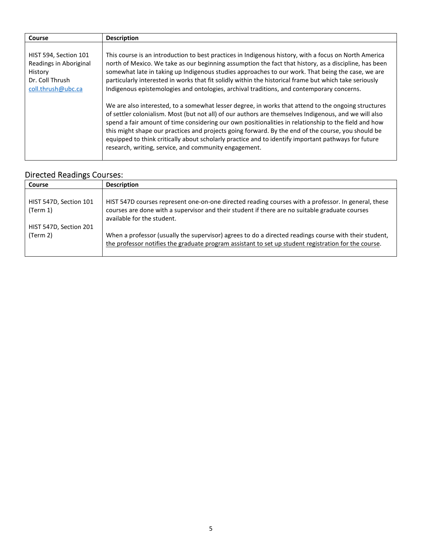| Course                                                                                              | <b>Description</b>                                                                                                                                                                                                                                                                                                                                                                                                                                                                                                                                                                                                                                                                                                                                                                                                                                                                                                                                                                                                                                                                                                       |
|-----------------------------------------------------------------------------------------------------|--------------------------------------------------------------------------------------------------------------------------------------------------------------------------------------------------------------------------------------------------------------------------------------------------------------------------------------------------------------------------------------------------------------------------------------------------------------------------------------------------------------------------------------------------------------------------------------------------------------------------------------------------------------------------------------------------------------------------------------------------------------------------------------------------------------------------------------------------------------------------------------------------------------------------------------------------------------------------------------------------------------------------------------------------------------------------------------------------------------------------|
| HIST 594, Section 101<br>Readings in Aboriginal<br>History<br>Dr. Coll Thrush<br>coll.thrush@ubc.ca | This course is an introduction to best practices in Indigenous history, with a focus on North America<br>north of Mexico. We take as our beginning assumption the fact that history, as a discipline, has been<br>somewhat late in taking up Indigenous studies approaches to our work. That being the case, we are<br>particularly interested in works that fit solidly within the historical frame but which take seriously<br>Indigenous epistemologies and ontologies, archival traditions, and contemporary concerns.<br>We are also interested, to a somewhat lesser degree, in works that attend to the ongoing structures<br>of settler colonialism. Most (but not all) of our authors are themselves Indigenous, and we will also<br>spend a fair amount of time considering our own positionalities in relationship to the field and how<br>this might shape our practices and projects going forward. By the end of the course, you should be<br>equipped to think critically about scholarly practice and to identify important pathways for future<br>research, writing, service, and community engagement. |

# Directed Readings Courses:

| <b>Course</b>                      | <b>Description</b>                                                                                                                                                                                                                  |
|------------------------------------|-------------------------------------------------------------------------------------------------------------------------------------------------------------------------------------------------------------------------------------|
| HIST 547D, Section 101<br>(Term 1) | HIST 547D courses represent one-on-one directed reading courses with a professor. In general, these<br>courses are done with a supervisor and their student if there are no suitable graduate courses<br>available for the student. |
| HIST 547D, Section 201<br>(Term 2) | When a professor (usually the supervisor) agrees to do a directed readings course with their student,<br>the professor notifies the graduate program assistant to set up student registration for the course.                       |